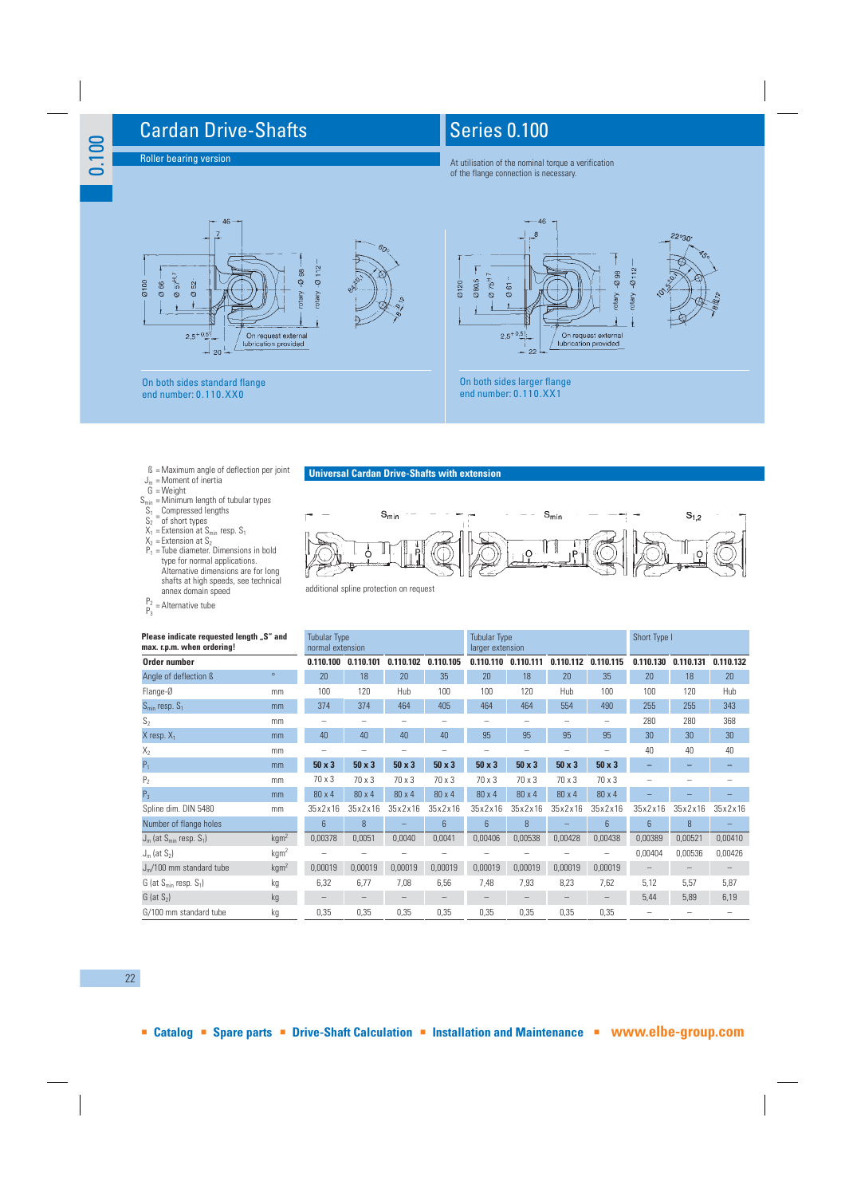## Cardan Drive-Shafts

Roller bearing version

0.100

## Series 0.100

At utilisation of the nominal torque a verification of the flange connection is necessary.



- 
- 
- B = Maximum angle of deflection per joint<br>  $G_m$  = Moment of inertia<br>  $S_{min}$  = Minimum length of tubular types<br>  $S_1$  = Compressed lengths<br>  $S_2$  = of short types<br>  $X_1$  = Extension at  $S_{min}$  resp.  $S_1$
- 
- 
- 
- 
- $X_2$  = Extension at S<sub>2</sub><br>P<sub>1</sub> = Tube diameter. Dimensions in bold type for normal applications. Alternative dimensions are for long shafts at high speeds, see technical annex domain speed
- $P_2 =$ Alternative tube

## **Universal Cardan Drive-Shafts with extension**



| Please indicate requested length "S" and<br>max. r.p.m. when ordering! | <b>Tubular Type</b><br>normal extension |               |               |               | Tubular Type<br>larger extension |               |               | Short Type I  |               |                 |                 |           |
|------------------------------------------------------------------------|-----------------------------------------|---------------|---------------|---------------|----------------------------------|---------------|---------------|---------------|---------------|-----------------|-----------------|-----------|
| Order number                                                           |                                         | 0.110.100     | 0.110.101     | 0.110.102     | 0.110.105                        | 0.110.110     | 0.110.111     | 0.110.112     | 0.110.115     | 0.110.130       | 0.110.131       | 0.110.132 |
| Angle of deflection <b>ß</b>                                           | $\circ$                                 | 20            | 18            | 20            | 35                               | 20            | 18            | 20            | 35            | 20              | 18              | 20        |
| Flange-Ø                                                               | mm                                      | 100           | 120           | Hub           | $100 -$                          | 100           | 120           | Hub           | 100           | 100             | 120             | Hub       |
| $S_{\text{min}}$ resp. $S_1$                                           | mm                                      | 374           | 374           | 464           | 405                              | 464           | 464           | 554           | 490           | 255             | 255             | 343       |
| S <sub>2</sub>                                                         | mm                                      |               |               |               |                                  |               |               |               |               | 280             | 280             | 368       |
| $X$ resp. $X_1$                                                        | mm                                      | 40            | 40            | 40            | 40                               | 95            | 95            | 95            | 95            | 30              | 30 <sup>°</sup> | 30        |
| $X_2$                                                                  | mm                                      |               |               |               |                                  |               |               |               |               | 40              | 40              | 40        |
| $P_1$                                                                  | mm                                      | $50 \times 3$ | $50 \times 3$ | $50 \times 3$ | $50 \times 3$                    | $50 \times 3$ | $50 \times 3$ | $50 \times 3$ | $50 \times 3$ |                 |                 |           |
| P <sub>2</sub>                                                         | mm                                      | $70 \times 3$ | $70 \times 3$ | 70 x 3        | $70 \times 3$                    | $70 \times 3$ | $70 \times 3$ | 70 x 3        | 70 x 3        |                 |                 |           |
| $P_3$                                                                  | mm                                      | $80 \times 4$ | $80 \times 4$ | $80 \times 4$ | $80 \times 4$                    | $80 \times 4$ | $80 \times 4$ | $80 \times 4$ | 80 x 4        |                 |                 |           |
| Spline dim. DIN 5480                                                   | mm                                      | 35x2x16       | 35x2x16       | 35x2x16       | 35x2x16                          | 35x2x16       | 35x2x16       | 35x2x16       | 35x2x16       | 35x2x16         | 35x2x16         | 35x2x16   |
| Number of flange holes                                                 |                                         | 6             | 8             |               | 6                                | 6             | 8             |               | 6             | $6\overline{6}$ | 8               |           |
| $J_m$ (at $S_{min}$ resp. $S_1$ )                                      | kgm <sup>2</sup>                        | 0.00378       | 0,0051        | 0.0040        | 0,0041                           | 0.00406       | 0,00538       | 0.00428       | 0,00438       | 0.00389         | 0,00521         | 0.00410   |
| $J_m$ (at $S_2$ )                                                      | kgm <sup>2</sup>                        |               |               |               |                                  |               |               |               |               | 0,00404         | 0,00536         | 0,00426   |
| $Jm/100$ mm standard tube                                              | kgm <sup>2</sup>                        | 0,00019       | 0,00019       | 0,00019       | 0,00019                          | 0,00019       | 0,00019       | 0,00019       | 0,00019       |                 |                 |           |
| $G$ (at $S_{min}$ resp. $S_1$ )                                        | kg                                      | 6,32          | 6,77          | 7,08          | 6,56                             | 7,48          | 7,93          | 8,23          | 7,62          | 5,12            | 5,57            | 5,87      |
| $G$ (at $S_2$ )                                                        | kg                                      |               |               |               |                                  |               |               |               |               | 5,44            | 5,89            | 6,19      |
| G/100 mm standard tube<br>kg                                           |                                         | 0,35          | 0,35          | 0,35          | 0,35                             | 0,35          | 0,35          | 0,35          | 0,35          |                 |                 |           |

## 22

**Catalog Spare parts Drive-Shaft Calculation Installation and Maintenance www.elbe-group.com**